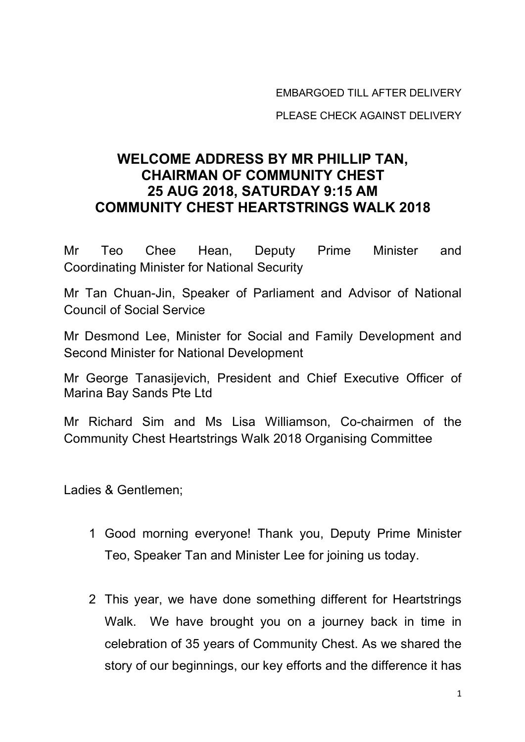EMBARGOED TILL AFTER DELIVERY

PLEASE CHECK AGAINST DELIVERY

## **WELCOME ADDRESS BY MR PHILLIP TAN, CHAIRMAN OF COMMUNITY CHEST 25 AUG 2018, SATURDAY 9:15 AM COMMUNITY CHEST HEARTSTRINGS WALK 2018**

Mr Teo Chee Hean, Deputy Prime Minister and Coordinating Minister for National Security

Mr Tan Chuan-Jin, Speaker of Parliament and Advisor of National Council of Social Service

Mr Desmond Lee, Minister for Social and Family Development and Second Minister for National Development

Mr George Tanasijevich, President and Chief Executive Officer of Marina Bay Sands Pte Ltd

Mr Richard Sim and Ms Lisa Williamson, Co-chairmen of the Community Chest Heartstrings Walk 2018 Organising Committee

Ladies & Gentlemen;

- 1 Good morning everyone! Thank you, Deputy Prime Minister Teo, Speaker Tan and Minister Lee for joining us today.
- 2 This year, we have done something different for Heartstrings Walk. We have brought you on a journey back in time in celebration of 35 years of Community Chest. As we shared the story of our beginnings, our key efforts and the difference it has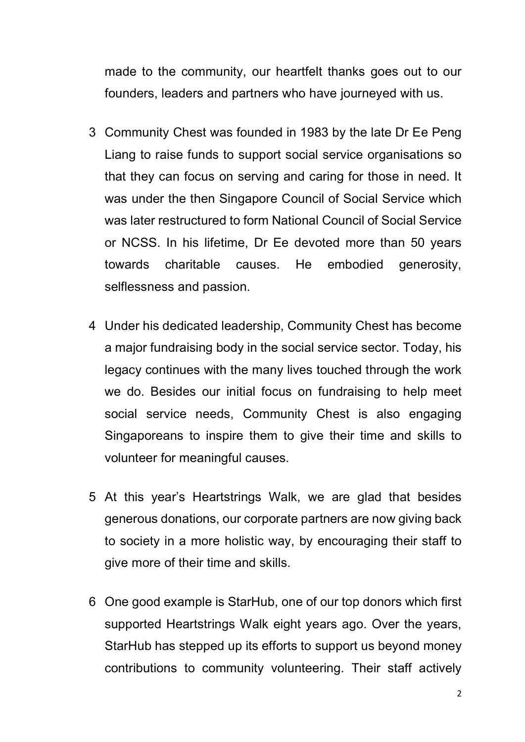made to the community, our heartfelt thanks goes out to our founders, leaders and partners who have journeyed with us.

- 3 Community Chest was founded in 1983 by the late Dr Ee Peng Liang to raise funds to support social service organisations so that they can focus on serving and caring for those in need. It was under the then Singapore Council of Social Service which was later restructured to form National Council of Social Service or NCSS. In his lifetime, Dr Ee devoted more than 50 years towards charitable causes. He embodied generosity, selflessness and passion.
- 4 Under his dedicated leadership, Community Chest has become a major fundraising body in the social service sector. Today, his legacy continues with the many lives touched through the work we do. Besides our initial focus on fundraising to help meet social service needs, Community Chest is also engaging Singaporeans to inspire them to give their time and skills to volunteer for meaningful causes.
- 5 At this year's Heartstrings Walk, we are glad that besides generous donations, our corporate partners are now giving back to society in a more holistic way, by encouraging their staff to give more of their time and skills.
- 6 One good example is StarHub, one of our top donors which first supported Heartstrings Walk eight years ago. Over the years, StarHub has stepped up its efforts to support us beyond money contributions to community volunteering. Their staff actively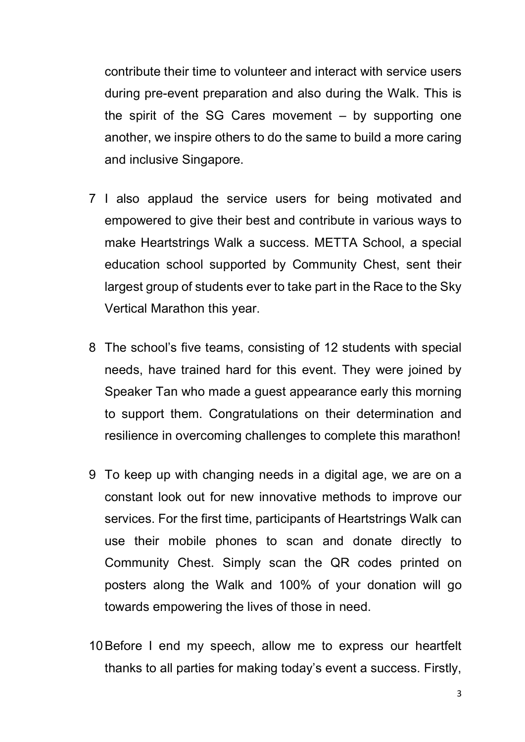contribute their time to volunteer and interact with service users during pre-event preparation and also during the Walk. This is the spirit of the SG Cares movement  $-$  by supporting one another, we inspire others to do the same to build a more caring and inclusive Singapore.

- 7 I also applaud the service users for being motivated and empowered to give their best and contribute in various ways to make Heartstrings Walk a success. METTA School, a special education school supported by Community Chest, sent their largest group of students ever to take part in the Race to the Sky Vertical Marathon this year.
- 8 The school's five teams, consisting of 12 students with special needs, have trained hard for this event. They were joined by Speaker Tan who made a guest appearance early this morning to support them. Congratulations on their determination and resilience in overcoming challenges to complete this marathon!
- 9 To keep up with changing needs in a digital age, we are on a constant look out for new innovative methods to improve our services. For the first time, participants of Heartstrings Walk can use their mobile phones to scan and donate directly to Community Chest. Simply scan the QR codes printed on posters along the Walk and 100% of your donation will go towards empowering the lives of those in need.
- 10Before I end my speech, allow me to express our heartfelt thanks to all parties for making today's event a success. Firstly,